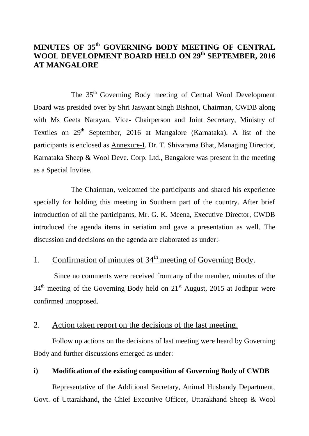## **MINUTES OF 35 th GOVERNING BODY MEETING OF CENTRAL WOOL DEVELOPMENT BOARD HELD ON 29th SEPTEMBER, 2016 AT MANGALORE**

The 35<sup>th</sup> Governing Body meeting of Central Wool Development Board was presided over by Shri Jaswant Singh Bishnoi, Chairman, CWDB along with Ms Geeta Narayan, Vice- Chairperson and Joint Secretary, Ministry of Textiles on  $29<sup>th</sup>$  September, 2016 at Mangalore (Karnataka). A list of the participants is enclosed as Annexure-I. Dr. T. Shivarama Bhat, Managing Director, Karnataka Sheep & Wool Deve. Corp. Ltd., Bangalore was present in the meeting as a Special Invitee.

The Chairman, welcomed the participants and shared his experience specially for holding this meeting in Southern part of the country. After brief introduction of all the participants, Mr. G. K. Meena, Executive Director, CWDB introduced the agenda items in seriatim and gave a presentation as well. The discussion and decisions on the agenda are elaborated as under:-

# 1. Confirmation of minutes of  $34<sup>th</sup>$  meeting of Governing Body.

Since no comments were received from any of the member, minutes of the  $34<sup>th</sup>$  meeting of the Governing Body held on  $21<sup>st</sup>$  August, 2015 at Jodhpur were confirmed unopposed.

### 2. Action taken report on the decisions of the last meeting.

Follow up actions on the decisions of last meeting were heard by Governing Body and further discussions emerged as under:

### **i) Modification of the existing composition of Governing Body of CWDB**

Representative of the Additional Secretary, Animal Husbandy Department, Govt. of Uttarakhand, the Chief Executive Officer, Uttarakhand Sheep & Wool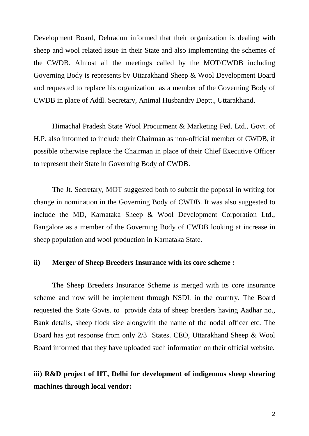Development Board, Dehradun informed that their organization is dealing with sheep and wool related issue in their State and also implementing the schemes of the CWDB. Almost all the meetings called by the MOT/CWDB including Governing Body is represents by Uttarakhand Sheep & Wool Development Board and requested to replace his organization as a member of the Governing Body of CWDB in place of Addl. Secretary, Animal Husbandry Deptt., Uttarakhand.

Himachal Pradesh State Wool Procurment & Marketing Fed. Ltd., Govt. of H.P. also informed to include their Chairman as non-official member of CWDB, if possible otherwise replace the Chairman in place of their Chief Executive Officer to represent their State in Governing Body of CWDB.

The Jt. Secretary, MOT suggested both to submit the poposal in writing for change in nomination in the Governing Body of CWDB. It was also suggested to include the MD, Karnataka Sheep & Wool Development Corporation Ltd., Bangalore as a member of the Governing Body of CWDB looking at increase in sheep population and wool production in Karnataka State.

#### **ii) Merger of Sheep Breeders Insurance with its core scheme :**

The Sheep Breeders Insurance Scheme is merged with its core insurance scheme and now will be implement through NSDL in the country. The Board requested the State Govts. to provide data of sheep breeders having Aadhar no., Bank details, sheep flock size alongwith the name of the nodal officer etc. The Board has got response from only 2/3 States. CEO, Uttarakhand Sheep & Wool Board informed that they have uploaded such information on their official website.

# **iii) R&D project of IIT, Delhi for development of indigenous sheep shearing machines through local vendor:**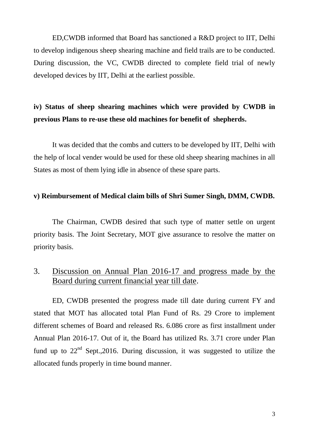ED,CWDB informed that Board has sanctioned a R&D project to IIT, Delhi to develop indigenous sheep shearing machine and field trails are to be conducted. During discussion, the VC, CWDB directed to complete field trial of newly developed devices by IIT, Delhi at the earliest possible.

# **iv) Status of sheep shearing machines which were provided by CWDB in previous Plans to re-use these old machines for benefit of shepherds.**

It was decided that the combs and cutters to be developed by IIT, Delhi with the help of local vender would be used for these old sheep shearing machines in all States as most of them lying idle in absence of these spare parts.

#### **v) Reimbursement of Medical claim bills of Shri Sumer Singh, DMM, CWDB.**

The Chairman, CWDB desired that such type of matter settle on urgent priority basis. The Joint Secretary, MOT give assurance to resolve the matter on priority basis.

## 3. Discussion on Annual Plan 2016-17 and progress made by the Board during current financial year till date.

ED, CWDB presented the progress made till date during current FY and stated that MOT has allocated total Plan Fund of Rs. 29 Crore to implement different schemes of Board and released Rs. 6.086 crore as first installment under Annual Plan 2016-17. Out of it, the Board has utilized Rs. 3.71 crore under Plan fund up to  $22<sup>nd</sup>$  Sept., 2016. During discussion, it was suggested to utilize the allocated funds properly in time bound manner.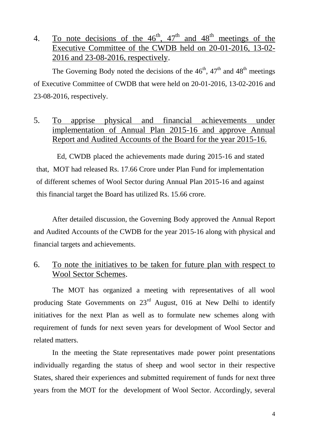4. To note decisions of the  $46^{\text{th}}$ ,  $47^{\text{th}}$  and  $48^{\text{th}}$  meetings of the Executive Committee of the CWDB held on 20-01-2016, 13-02- 2016 and 23-08-2016, respectively.

The Governing Body noted the decisions of the  $46<sup>th</sup>$ ,  $47<sup>th</sup>$  and  $48<sup>th</sup>$  meetings of Executive Committee of CWDB that were held on 20-01-2016, 13-02-2016 and 23-08-2016, respectively.

# 5. To apprise physical and financial achievements under implementation of Annual Plan 2015-16 and approve Annual Report and Audited Accounts of the Board for the year 2015-16.

Ed, CWDB placed the achievements made during 2015-16 and stated that, MOT had released Rs. 17.66 Crore under Plan Fund for implementation of different schemes of Wool Sector during Annual Plan 2015-16 and against this financial target the Board has utilized Rs. 15.66 crore.

After detailed discussion, the Governing Body approved the Annual Report and Audited Accounts of the CWDB for the year 2015-16 along with physical and financial targets and achievements.

# 6. To note the initiatives to be taken for future plan with respect to Wool Sector Schemes.

The MOT has organized a meeting with representatives of all wool producing State Governments on 23<sup>rd</sup> August, 016 at New Delhi to identify initiatives for the next Plan as well as to formulate new schemes along with requirement of funds for next seven years for development of Wool Sector and related matters.

In the meeting the State representatives made power point presentations individually regarding the status of sheep and wool sector in their respective States, shared their experiences and submitted requirement of funds for next three years from the MOT for the development of Wool Sector. Accordingly, several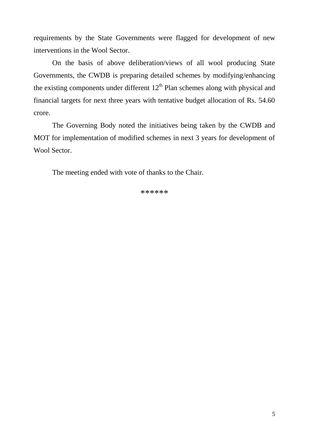requirements by the State Governments were flagged for development of new interventions in the Wool Sector.

On the basis of above deliberation/views of all wool producing State Governments, the CWDB is preparing detailed schemes by modifying/enhancing the existing components under different  $12<sup>th</sup>$  Plan schemes along with physical and financial targets for next three years with tentative budget allocation of Rs. 54.60 crore.

The Governing Body noted the initiatives being taken by the CWDB and MOT for implementation of modified schemes in next 3 years for development of Wool Sector.

The meeting ended with vote of thanks to the Chair.

\*\*\*\*\*\*